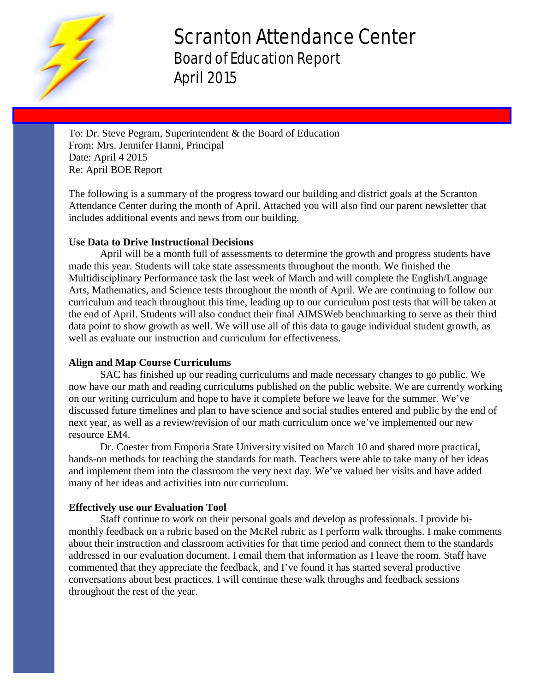

# Scranton Attendance Center Board of Education Report April 2015

To: Dr. Steve Pegram, Superintendent & the Board of Education From: Mrs. Jennifer Hanni, Principal Date: April 4 2015 Re: April BOE Report

The following is a summary of the progress toward our building and district goals at the Scranton Attendance Center during the month of April. Attached you will also find our parent newsletter that includes additional events and news from our building.

### **Use Data to Drive Instructional Decisions**

April will be a month full of assessments to determine the growth and progress students have made this year. Students will take state assessments throughout the month. We finished the Multidisciplinary Performance task the last week of March and will complete the English/Language Arts, Mathematics, and Science tests throughout the month of April. We are continuing to follow our curriculum and teach throughout this time, leading up to our curriculum post tests that will be taken at the end of April. Students will also conduct their final AIMSWeb benchmarking to serve as their third data point to show growth as well. We will use all of this data to gauge individual student growth, as well as evaluate our instruction and curriculum for effectiveness.

#### **Align and Map Course Curriculums**

SAC has finished up our reading curriculums and made necessary changes to go public. We now have our math and reading curriculums published on the public website. We are currently working on our writing curriculum and hope to have it complete before we leave for the summer. We've discussed future timelines and plan to have science and social studies entered and public by the end of next year, as well as a review/revision of our math curriculum once we've implemented our new resource EM4.

Dr. Coester from Emporia State University visited on March 10 and shared more practical, hands-on methods for teaching the standards for math. Teachers were able to take many of her ideas and implement them into the classroom the very next day. We've valued her visits and have added many of her ideas and activities into our curriculum.

#### **Effectively use our Evaluation Tool**

Staff continue to work on their personal goals and develop as professionals. I provide bimonthly feedback on a rubric based on the McRel rubric as I perform walk throughs. I make comments about their instruction and classroom activities for that time period and connect them to the standards addressed in our evaluation document. I email them that information as I leave the room. Staff have commented that they appreciate the feedback, and I've found it has started several productive conversations about best practices. I will continue these walk throughs and feedback sessions throughout the rest of the year.